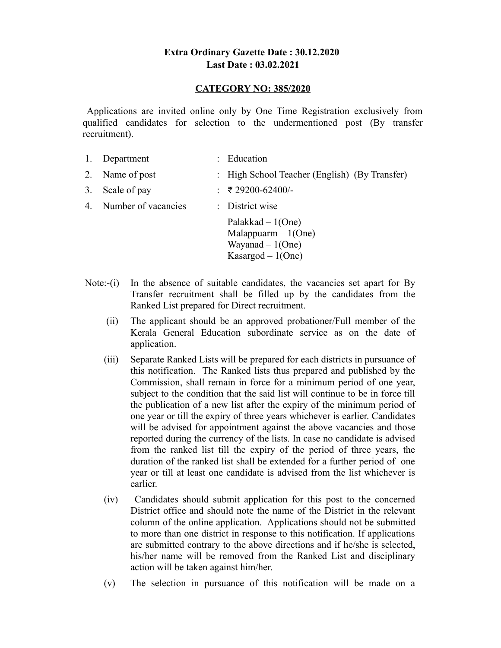# **Extra Ordinary Gazette Date : 30.12.2020 Last Date : 03.02.2021**

### **CATEGORY NO: 385/2020**

 Applications are invited online only by One Time Registration exclusively from qualified candidates for selection to the undermentioned post (By transfer recruitment).

| 1. | Department          | : Education                                                                               |
|----|---------------------|-------------------------------------------------------------------------------------------|
|    | 2. Name of post     | : High School Teacher (English) (By Transfer)                                             |
| 3. | Scale of pay        | $\div$ ₹ 29200-62400/-                                                                    |
| 4. | Number of vacancies | : District wise                                                                           |
|    |                     | Palakkad $-1$ (One)<br>Malappuarm $-1$ (One)<br>Wayanad $-1$ (One)<br>Kasargod $-1$ (One) |

- Note:-(i) In the absence of suitable candidates, the vacancies set apart for By Transfer recruitment shall be filled up by the candidates from the Ranked List prepared for Direct recruitment.
	- (ii) The applicant should be an approved probationer/Full member of the Kerala General Education subordinate service as on the date of application.
	- (iii) Separate Ranked Lists will be prepared for each districts in pursuance of this notification. The Ranked lists thus prepared and published by the Commission, shall remain in force for a minimum period of one year, subject to the condition that the said list will continue to be in force till the publication of a new list after the expiry of the minimum period of one year or till the expiry of three years whichever is earlier. Candidates will be advised for appointment against the above vacancies and those reported during the currency of the lists. In case no candidate is advised from the ranked list till the expiry of the period of three years, the duration of the ranked list shall be extended for a further period of one year or till at least one candidate is advised from the list whichever is earlier.
	- (iv) Candidates should submit application for this post to the concerned District office and should note the name of the District in the relevant column of the online application. Applications should not be submitted to more than one district in response to this notification. If applications are submitted contrary to the above directions and if he/she is selected, his/her name will be removed from the Ranked List and disciplinary action will be taken against him/her.
	- (v) The selection in pursuance of this notification will be made on a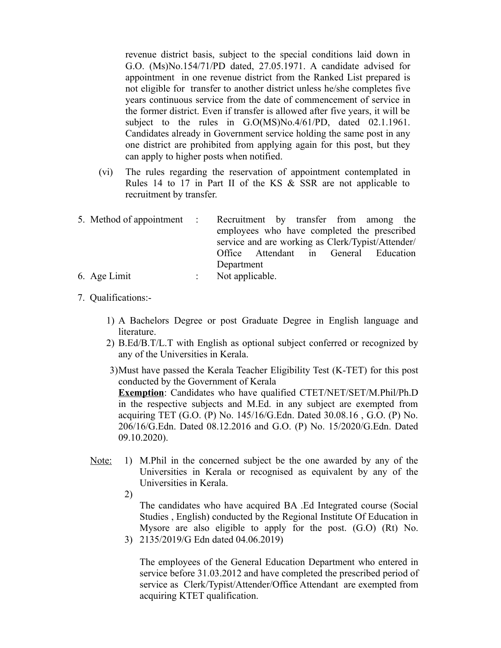revenue district basis, subject to the special conditions laid down in G.O. (Ms)No.154/71/PD dated, 27.05.1971. A candidate advised for appointment in one revenue district from the Ranked List prepared is not eligible for transfer to another district unless he/she completes five years continuous service from the date of commencement of service in the former district. Even if transfer is allowed after five years, it will be subject to the rules in G.O(MS)No.4/61/PD, dated 02.1.1961. Candidates already in Government service holding the same post in any one district are prohibited from applying again for this post, but they can apply to higher posts when notified.

- (vi) The rules regarding the reservation of appointment contemplated in Rules 14 to 17 in Part II of the KS & SSR are not applicable to recruitment by transfer.
- 5. Method of appointment : Recruitment by transfer from among the employees who have completed the prescribed service and are working as Clerk/Typist/Attender/ Office Attendant in General Education Department
- 6. Age Limit : Not applicable.
- 7. Qualifications:-
	- 1) A Bachelors Degree or post Graduate Degree in English language and literature.
	- 2) B.Ed/B.T/L.T with English as optional subject conferred or recognized by any of the Universities in Kerala.
	- 3)Must have passed the Kerala Teacher Eligibility Test (K-TET) for this post conducted by the Government of Kerala

**Exemption**: Candidates who have qualified CTET/NET/SET/M.Phil/Ph.D in the respective subjects and M.Ed. in any subject are exempted from acquiring TET (G.O. (P) No. 145/16/G.Edn. Dated 30.08.16 , G.O. (P) No. 206/16/G.Edn. Dated 08.12.2016 and G.O. (P) No. 15/2020/G.Edn. Dated 09.10.2020).

- Note: M.Phil in the concerned subject be the one awarded by any of the Universities in Kerala or recognised as equivalent by any of the Universities in Kerala.
	- 2)

 3) 2135/2019/G Edn dated 04.06.2019) The candidates who have acquired BA .Ed Integrated course (Social Studies , English) conducted by the Regional Institute Of Education in Mysore are also eligible to apply for the post. (G.O) (Rt) No.

> The employees of the General Education Department who entered in service before 31.03.2012 and have completed the prescribed period of service as Clerk/Typist/Attender/Office Attendant are exempted from acquiring KTET qualification.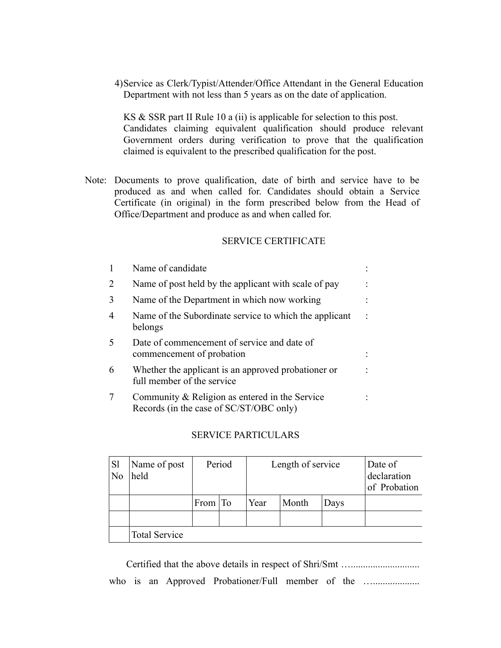4)Service as Clerk/Typist/Attender/Office Attendant in the General Education Department with not less than 5 years as on the date of application.

KS & SSR part II Rule 10 a (ii) is applicable for selection to this post. Candidates claiming equivalent qualification should produce relevant Government orders during verification to prove that the qualification claimed is equivalent to the prescribed qualification for the post.

Note: Documents to prove qualification, date of birth and service have to be produced as and when called for. Candidates should obtain a Service Certificate (in original) in the form prescribed below from the Head of Office/Department and produce as and when called for.

### SERVICE CERTIFICATE

| 1 | Name of candidate                                                                         |  |
|---|-------------------------------------------------------------------------------------------|--|
| 2 | Name of post held by the applicant with scale of pay                                      |  |
| 3 | Name of the Department in which now working                                               |  |
| 4 | Name of the Subordinate service to which the applicant<br>belongs                         |  |
| 5 | Date of commencement of service and date of<br>commencement of probation                  |  |
| 6 | Whether the applicant is an approved probationer or<br>full member of the service         |  |
|   | Community & Religion as entered in the Service<br>Records (in the case of SC/ST/OBC only) |  |

#### SERVICE PARTICULARS

| S <sub>1</sub><br>N <sub>o</sub> | Name of post<br>held | Period          |  | Length of service |       |      | Date of<br>declaration<br>of Probation |
|----------------------------------|----------------------|-----------------|--|-------------------|-------|------|----------------------------------------|
|                                  |                      | From $\vert$ To |  | Year              | Month | Days |                                        |
|                                  |                      |                 |  |                   |       |      |                                        |
|                                  | <b>Total Service</b> |                 |  |                   |       |      |                                        |

 Certified that the above details in respect of Shri/Smt …............................ who is an Approved Probationer/Full member of the ...............................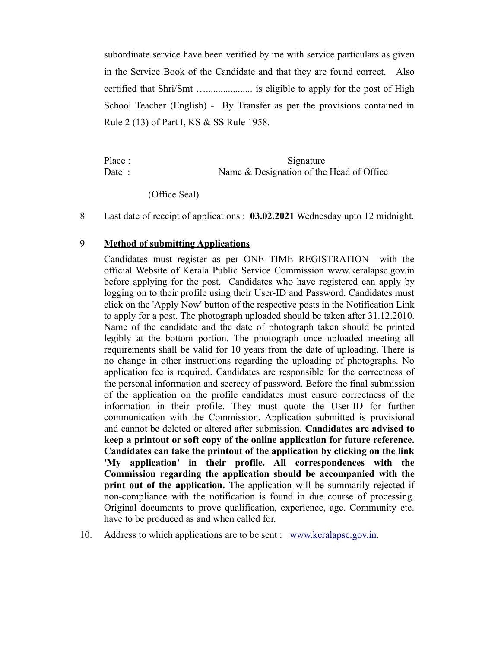subordinate service have been verified by me with service particulars as given in the Service Book of the Candidate and that they are found correct. Also certified that Shri/Smt …................... is eligible to apply for the post of High School Teacher (English) - By Transfer as per the provisions contained in Rule 2 (13) of Part I, KS & SS Rule 1958.

Place : Signature Date : Name & Designation of the Head of Office

(Office Seal)

8 Last date of receipt of applications : **03.02.2021** Wednesday upto 12 midnight.

## 9 **Method of submitting Applications**

Candidates must register as per ONE TIME REGISTRATION with the official Website of Kerala Public Service Commission www.keralapsc.gov.in before applying for the post. Candidates who have registered can apply by logging on to their profile using their User-ID and Password. Candidates must click on the 'Apply Now' button of the respective posts in the Notification Link to apply for a post. The photograph uploaded should be taken after 31.12.2010. Name of the candidate and the date of photograph taken should be printed legibly at the bottom portion. The photograph once uploaded meeting all requirements shall be valid for 10 years from the date of uploading. There is no change in other instructions regarding the uploading of photographs. No application fee is required. Candidates are responsible for the correctness of the personal information and secrecy of password. Before the final submission of the application on the profile candidates must ensure correctness of the information in their profile. They must quote the User-ID for further communication with the Commission. Application submitted is provisional and cannot be deleted or altered after submission. **Candidates are advised to keep a printout or soft copy of the online application for future reference. Candidates can take the printout of the application by clicking on the link 'My application' in their profile. All correspondences with the Commission regarding the application should be accompanied with the print out of the application.** The application will be summarily rejected if non-compliance with the notification is found in due course of processing. Original documents to prove qualification, experience, age. Community etc. have to be produced as and when called for.

10. Address to which applications are to be sent : [www.keralapsc.g](http://www.keralapsc.org/)ov.in.